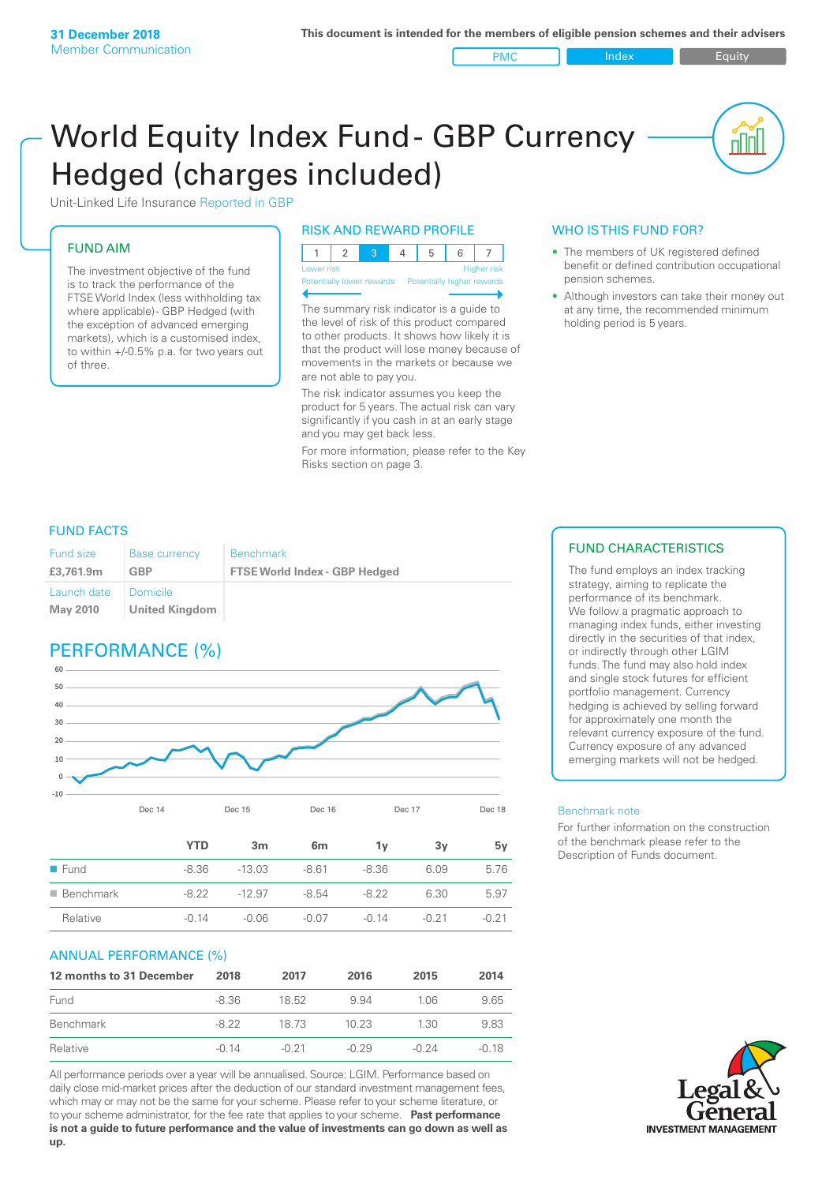#### PMC Index Figuity

nn

# World Equity Index Fund- GBP Currency Hedged (charges included)



## FUND AIM

The investment objective of the fund is to track the performance of the FTSE World Index (less withholding tax where applicable) - GBP Hedged (with the exception of advanced emerging markets), which is a customised index, to within +/‑0.5% p.a. for two years out of three.

## RISK AND REWARD PROFILE

| Lower risk |  |  | <b>Higher</b> risk |
|------------|--|--|--------------------|

Potentially lower rewards Potentially higher rewards

The summary risk indicator is a guide to the level of risk of this product compared to other products. It shows how likely it is that the product will lose money because of movements in the markets or because we are not able to pay you.

The risk indicator assumes you keep the product for 5 years. The actual risk can vary significantly if you cash in at an early stage and you may get back less.

For more information, please refer to the Key Risks section on page 3.

## WHO IS THIS FUND FOR?

- The members of UK registered defined benefit or defined contribution occupational pension schemes.
- Although investors can take their money out at any time, the recommended minimum holding period is 5 years.

## FUND FACTS

| <b>Fund size</b> | <b>Base currency</b>                         | <b>Benchmark</b>                     |
|------------------|----------------------------------------------|--------------------------------------|
| £3,761.9m        | GBP                                          | <b>FTSE World Index - GBP Hedged</b> |
| Launch date      | <b>Domicile</b><br>May 2010   United Kingdom |                                      |

## PERFORMANCE (%)



|                          | <b>YTD</b> | 3m       | 6m      | 1۷      | 3۷      | 5ν      |
|--------------------------|------------|----------|---------|---------|---------|---------|
| $\blacksquare$ Fund      | -8.36      | $-13.03$ | $-8.61$ | $-8.36$ | 6.09    | 5.76    |
| $\blacksquare$ Benchmark | $-822$     | $-12.97$ | $-8.54$ | $-8.22$ | 6.30    | 5.97    |
| Relative                 | $-0.14$    | $-0.06$  | -0.07   | $-0.14$ | $-0.21$ | $-0.21$ |

Dec 14 Dec 15 Dec 16 Dec 17 Dec 18

## ANNUAL PERFORMANCE (%)

| 12 months to 31 December | 2018    | 2017    | 2016    | 2015    | 2014  |
|--------------------------|---------|---------|---------|---------|-------|
| Fund                     | -8.36   | 18.52   | 994     | 1.06    | 9.65  |
| Benchmark                | $-8.22$ | 18 73   | 10.23   | 1.30    | 9.83  |
| Relative                 | $-0.14$ | $-0.21$ | $-0.29$ | $-0.24$ | -0.18 |

All performance periods over a year will be annualised. Source: LGIM. Performance based on daily close mid-market prices after the deduction of our standard investment management fees, which may or may not be the same for your scheme. Please refer to your scheme literature, or to your scheme administrator, for the fee rate that applies to your scheme. **Past performance is not a guide to future performance and the value of investments can go down as well as up.**

## FUND CHARACTERISTICS

The fund employs an index tracking strategy, aiming to replicate the performance of its benchmark. We follow a pragmatic approach to managing index funds, either investing directly in the securities of that index, or indirectly through other LGIM funds. The fund may also hold index and single stock futures for efficient portfolio management. Currency hedging is achieved by selling forward for approximately one month the relevant currency exposure of the fund. Currency exposure of any advanced emerging markets will not be hedged.

#### Benchmark note

For further information on the construction of the benchmark please refer to the Description of Funds document.

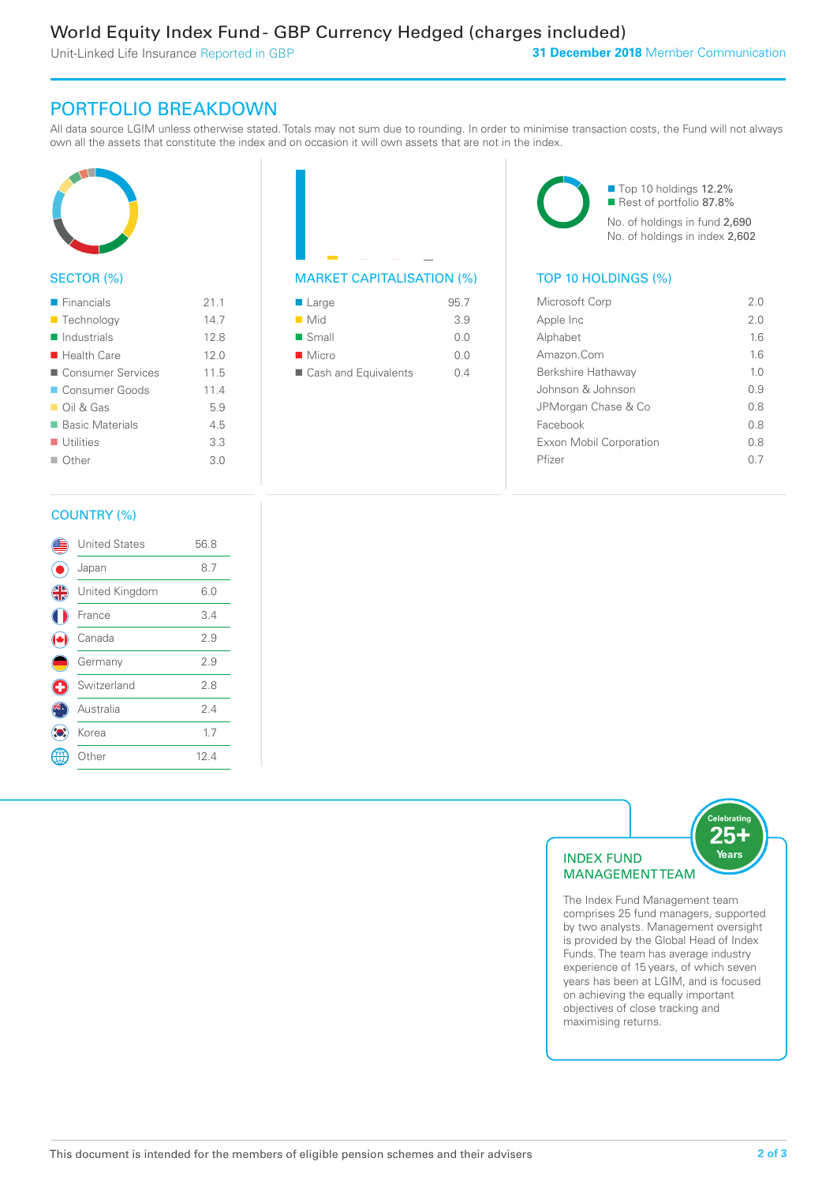Unit-Linked Life Insurance Reported in GBP

## PORTFOLIO BREAKDOWN

All data source LGIM unless otherwise stated. Totals may not sum due to rounding. In order to minimise transaction costs, the Fund will not always own all the assets that constitute the index and on occasion it will own assets that are not in the index.



## SECTOR (%)

| $\blacksquare$ Financials  | 21.1 |
|----------------------------|------|
| ■ Technology               | 14.7 |
| $\blacksquare$ Industrials | 12.8 |
| $\blacksquare$ Health Care | 12.0 |
| ■ Consumer Services        | 11.5 |
| ■ Consumer Goods           | 11.4 |
| $\Box$ Oil & Gas           | 5.9  |
| ■ Basic Materials          | 4.5  |
| $\blacksquare$ Utilities   | 3.3  |
| $\Box$ Other               | 3.0  |
|                            |      |



| $\blacksquare$ Large | 95.7 |
|----------------------|------|
| $\blacksquare$ Mid   | 3.9  |
| $\blacksquare$ Small | 0.0  |
| $\blacksquare$ Micro | 0.0  |
| Cash and Equivalents | N 4  |

■ Top 10 holdings 12.2% Rest of portfolio 87.8% No. of holdings in fund 2,690 No. of holdings in index 2,602

| Microsoft Corp                 | 20             |
|--------------------------------|----------------|
| Apple Inc                      | 2.0            |
| Alphabet                       | 16             |
| Amazon Com                     | 16             |
| Berkshire Hathaway             | 1 <sub>0</sub> |
| Johnson & Johnson              | O 9            |
| JPMorgan Chase & Co            | 0.8            |
| Facebook                       | 08             |
| <b>Exxon Mobil Corporation</b> | 0 S            |
| Pfizer                         | () /           |
|                                |                |

## COUNTRY (%)

|   | <b>United States</b> | 56.8 |  |
|---|----------------------|------|--|
|   | Japan                | 8.7  |  |
| 4 | United Kingdom       | 6.0  |  |
|   | France               | 3.4  |  |
|   | Canada               | 2.9  |  |
|   | Germany              | 2.9  |  |
|   | Switzerland          | 2.8  |  |
|   | Australia            | 2.4  |  |
|   | Korea                | 1.7  |  |
|   | Other                | 12.4 |  |
|   |                      |      |  |



The Index Fund Management team comprises 25 fund managers, supported by two analysts. Management oversight is provided by the Global Head of Index Funds. The team has average industry experience of 15 years, of which seven years has been at LGIM, and is focused on achieving the equally important objectives of close tracking and maximising returns.